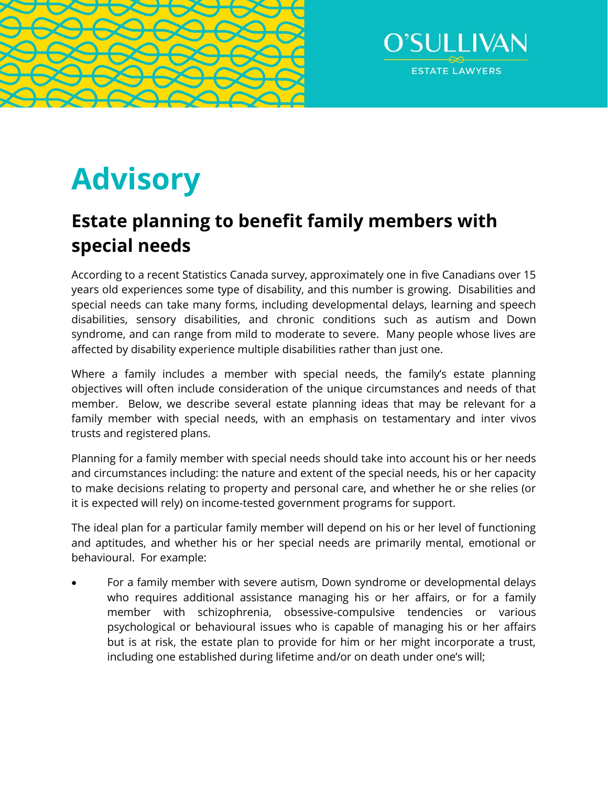



# **Advisory**

# **Estate planning to benefit family members with special needs**

According to a recent Statistics Canada survey, approximately one in five Canadians over 15 years old experiences some type of disability, and this number is growing. Disabilities and special needs can take many forms, including developmental delays, learning and speech disabilities, sensory disabilities, and chronic conditions such as autism and Down syndrome, and can range from mild to moderate to severe. Many people whose lives are affected by disability experience multiple disabilities rather than just one.

Where a family includes a member with special needs, the family's estate planning objectives will often include consideration of the unique circumstances and needs of that member. Below, we describe several estate planning ideas that may be relevant for a family member with special needs, with an emphasis on testamentary and inter vivos trusts and registered plans.

Planning for a family member with special needs should take into account his or her needs and circumstances including: the nature and extent of the special needs, his or her capacity to make decisions relating to property and personal care, and whether he or she relies (or it is expected will rely) on income-tested government programs for support.

The ideal plan for a particular family member will depend on his or her level of functioning and aptitudes, and whether his or her special needs are primarily mental, emotional or behavioural. For example:

 For a family member with severe autism, Down syndrome or developmental delays who requires additional assistance managing his or her affairs, or for a family member with schizophrenia, obsessive-compulsive tendencies or various psychological or behavioural issues who is capable of managing his or her affairs but is at risk, the estate plan to provide for him or her might incorporate a trust, including one established during lifetime and/or on death under one's will;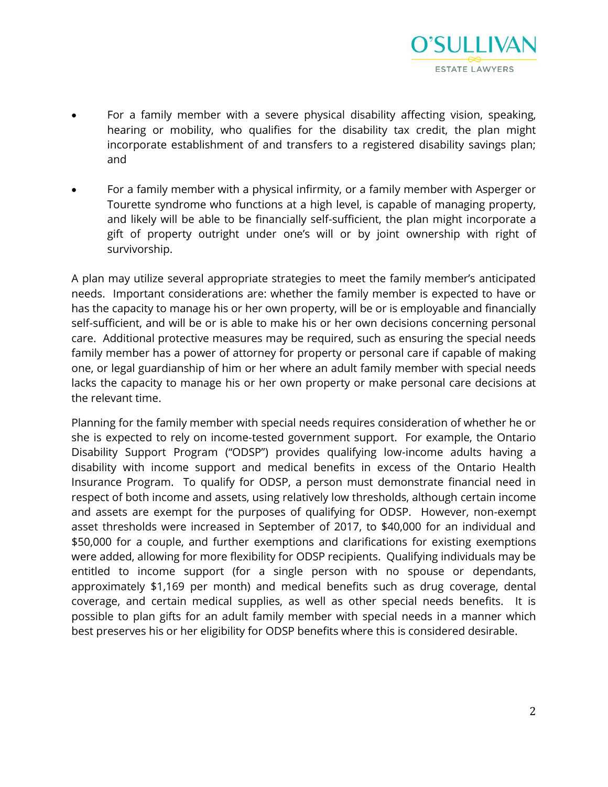

- For a family member with a severe physical disability affecting vision, speaking, hearing or mobility, who qualifies for the disability tax credit, the plan might incorporate establishment of and transfers to a registered disability savings plan; and
- For a family member with a physical infirmity, or a family member with Asperger or Tourette syndrome who functions at a high level, is capable of managing property, and likely will be able to be financially self-sufficient, the plan might incorporate a gift of property outright under one's will or by joint ownership with right of survivorship.

A plan may utilize several appropriate strategies to meet the family member's anticipated needs. Important considerations are: whether the family member is expected to have or has the capacity to manage his or her own property, will be or is employable and financially self-sufficient, and will be or is able to make his or her own decisions concerning personal care. Additional protective measures may be required, such as ensuring the special needs family member has a power of attorney for property or personal care if capable of making one, or legal guardianship of him or her where an adult family member with special needs lacks the capacity to manage his or her own property or make personal care decisions at the relevant time.

Planning for the family member with special needs requires consideration of whether he or she is expected to rely on income-tested government support. For example, the Ontario Disability Support Program ("ODSP") provides qualifying low-income adults having a disability with income support and medical benefits in excess of the Ontario Health Insurance Program. To qualify for ODSP, a person must demonstrate financial need in respect of both income and assets, using relatively low thresholds, although certain income and assets are exempt for the purposes of qualifying for ODSP. However, non-exempt asset thresholds were increased in September of 2017, to \$40,000 for an individual and \$50,000 for a couple, and further exemptions and clarifications for existing exemptions were added, allowing for more flexibility for ODSP recipients. Qualifying individuals may be entitled to income support (for a single person with no spouse or dependants, approximately \$1,169 per month) and medical benefits such as drug coverage, dental coverage, and certain medical supplies, as well as other special needs benefits. It is possible to plan gifts for an adult family member with special needs in a manner which best preserves his or her eligibility for ODSP benefits where this is considered desirable.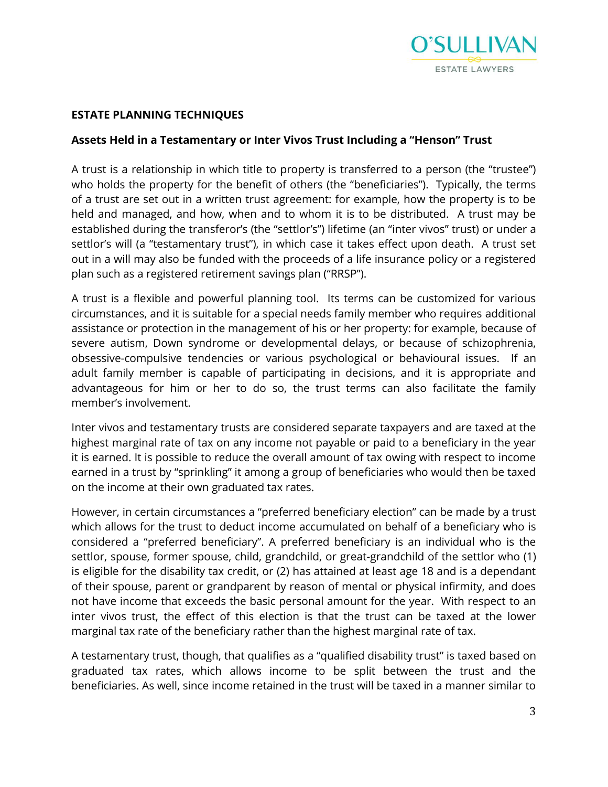

### **ESTATE PLANNING TECHNIQUES**

#### **Assets Held in a Testamentary or Inter Vivos Trust Including a "Henson" Trust**

A trust is a relationship in which title to property is transferred to a person (the "trustee") who holds the property for the benefit of others (the "beneficiaries"). Typically, the terms of a trust are set out in a written trust agreement: for example, how the property is to be held and managed, and how, when and to whom it is to be distributed. A trust may be established during the transferor's (the "settlor's") lifetime (an "inter vivos" trust) or under a settlor's will (a "testamentary trust"), in which case it takes effect upon death. A trust set out in a will may also be funded with the proceeds of a life insurance policy or a registered plan such as a registered retirement savings plan ("RRSP").

A trust is a flexible and powerful planning tool. Its terms can be customized for various circumstances, and it is suitable for a special needs family member who requires additional assistance or protection in the management of his or her property: for example, because of severe autism, Down syndrome or developmental delays, or because of schizophrenia, obsessive-compulsive tendencies or various psychological or behavioural issues. If an adult family member is capable of participating in decisions, and it is appropriate and advantageous for him or her to do so, the trust terms can also facilitate the family member's involvement.

Inter vivos and testamentary trusts are considered separate taxpayers and are taxed at the highest marginal rate of tax on any income not payable or paid to a beneficiary in the year it is earned. It is possible to reduce the overall amount of tax owing with respect to income earned in a trust by "sprinkling" it among a group of beneficiaries who would then be taxed on the income at their own graduated tax rates.

However, in certain circumstances a "preferred beneficiary election" can be made by a trust which allows for the trust to deduct income accumulated on behalf of a beneficiary who is considered a "preferred beneficiary". A preferred beneficiary is an individual who is the settlor, spouse, former spouse, child, grandchild, or great-grandchild of the settlor who (1) is eligible for the disability tax credit, or (2) has attained at least age 18 and is a dependant of their spouse, parent or grandparent by reason of mental or physical infirmity, and does not have income that exceeds the basic personal amount for the year. With respect to an inter vivos trust, the effect of this election is that the trust can be taxed at the lower marginal tax rate of the beneficiary rather than the highest marginal rate of tax.

A testamentary trust, though, that qualifies as a "qualified disability trust" is taxed based on graduated tax rates, which allows income to be split between the trust and the beneficiaries. As well, since income retained in the trust will be taxed in a manner similar to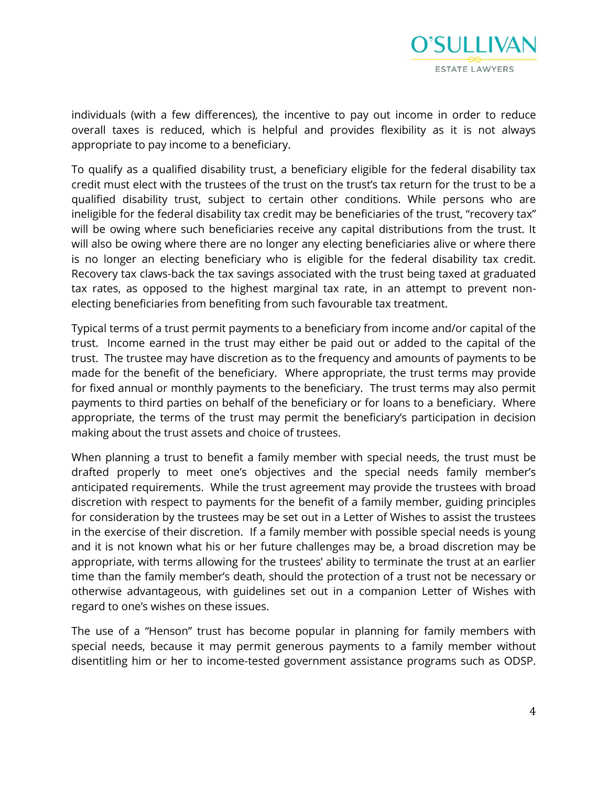

individuals (with a few differences), the incentive to pay out income in order to reduce overall taxes is reduced, which is helpful and provides flexibility as it is not always appropriate to pay income to a beneficiary.

To qualify as a qualified disability trust, a beneficiary eligible for the federal disability tax credit must elect with the trustees of the trust on the trust's tax return for the trust to be a qualified disability trust, subject to certain other conditions. While persons who are ineligible for the federal disability tax credit may be beneficiaries of the trust, "recovery tax" will be owing where such beneficiaries receive any capital distributions from the trust. It will also be owing where there are no longer any electing beneficiaries alive or where there is no longer an electing beneficiary who is eligible for the federal disability tax credit. Recovery tax claws-back the tax savings associated with the trust being taxed at graduated tax rates, as opposed to the highest marginal tax rate, in an attempt to prevent nonelecting beneficiaries from benefiting from such favourable tax treatment.

Typical terms of a trust permit payments to a beneficiary from income and/or capital of the trust. Income earned in the trust may either be paid out or added to the capital of the trust. The trustee may have discretion as to the frequency and amounts of payments to be made for the benefit of the beneficiary. Where appropriate, the trust terms may provide for fixed annual or monthly payments to the beneficiary. The trust terms may also permit payments to third parties on behalf of the beneficiary or for loans to a beneficiary. Where appropriate, the terms of the trust may permit the beneficiary's participation in decision making about the trust assets and choice of trustees.

When planning a trust to benefit a family member with special needs, the trust must be drafted properly to meet one's objectives and the special needs family member's anticipated requirements. While the trust agreement may provide the trustees with broad discretion with respect to payments for the benefit of a family member, guiding principles for consideration by the trustees may be set out in a Letter of Wishes to assist the trustees in the exercise of their discretion. If a family member with possible special needs is young and it is not known what his or her future challenges may be, a broad discretion may be appropriate, with terms allowing for the trustees' ability to terminate the trust at an earlier time than the family member's death, should the protection of a trust not be necessary or otherwise advantageous, with guidelines set out in a companion Letter of Wishes with regard to one's wishes on these issues.

The use of a "Henson" trust has become popular in planning for family members with special needs, because it may permit generous payments to a family member without disentitling him or her to income-tested government assistance programs such as ODSP.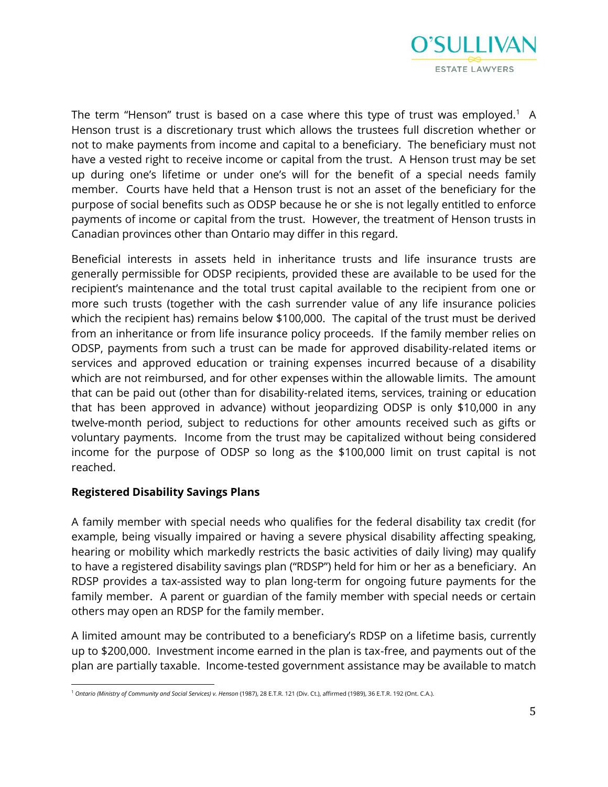

The term "Henson" trust is based on a case where this type of trust was employed. $^1$  A Henson trust is a discretionary trust which allows the trustees full discretion whether or not to make payments from income and capital to a beneficiary. The beneficiary must not have a vested right to receive income or capital from the trust. A Henson trust may be set up during one's lifetime or under one's will for the benefit of a special needs family member. Courts have held that a Henson trust is not an asset of the beneficiary for the purpose of social benefits such as ODSP because he or she is not legally entitled to enforce payments of income or capital from the trust. However, the treatment of Henson trusts in Canadian provinces other than Ontario may differ in this regard.

Beneficial interests in assets held in inheritance trusts and life insurance trusts are generally permissible for ODSP recipients, provided these are available to be used for the recipient's maintenance and the total trust capital available to the recipient from one or more such trusts (together with the cash surrender value of any life insurance policies which the recipient has) remains below \$100,000. The capital of the trust must be derived from an inheritance or from life insurance policy proceeds. If the family member relies on ODSP, payments from such a trust can be made for approved disability-related items or services and approved education or training expenses incurred because of a disability which are not reimbursed, and for other expenses within the allowable limits. The amount that can be paid out (other than for disability-related items, services, training or education that has been approved in advance) without jeopardizing ODSP is only \$10,000 in any twelve-month period, subject to reductions for other amounts received such as gifts or voluntary payments. Income from the trust may be capitalized without being considered income for the purpose of ODSP so long as the \$100,000 limit on trust capital is not reached.

### **Registered Disability Savings Plans**

A family member with special needs who qualifies for the federal disability tax credit (for example, being visually impaired or having a severe physical disability affecting speaking, hearing or mobility which markedly restricts the basic activities of daily living) may qualify to have a registered disability savings plan ("RDSP") held for him or her as a beneficiary. An RDSP provides a tax-assisted way to plan long-term for ongoing future payments for the family member. A parent or guardian of the family member with special needs or certain others may open an RDSP for the family member.

A limited amount may be contributed to a beneficiary's RDSP on a lifetime basis, currently up to \$200,000. Investment income earned in the plan is tax-free, and payments out of the plan are partially taxable. Income-tested government assistance may be available to match

l <sup>1</sup> *Ontario (Ministry of Community and Social Services) v. Henson* (1987), 28 E.T.R. 121 (Div. Ct.), affirmed (1989), 36 E.T.R. 192 (Ont. C.A.).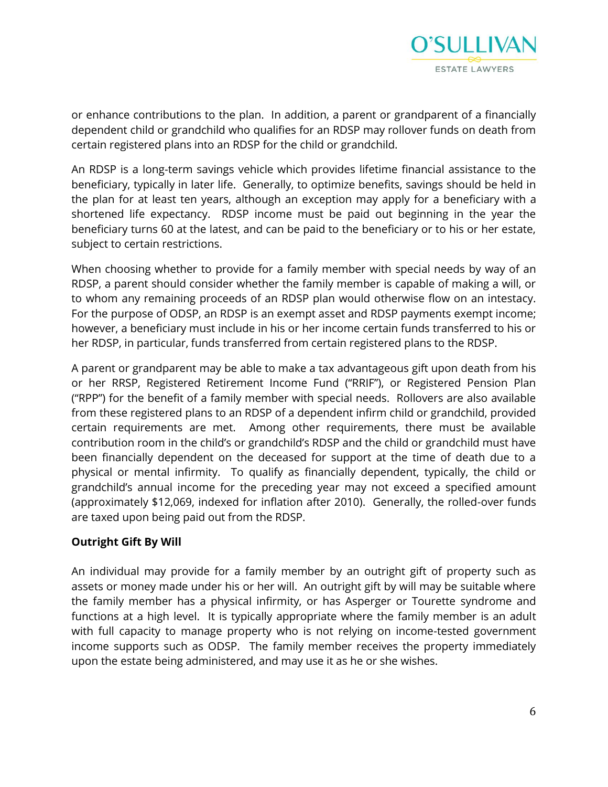

or enhance contributions to the plan. In addition, a parent or grandparent of a financially dependent child or grandchild who qualifies for an RDSP may rollover funds on death from certain registered plans into an RDSP for the child or grandchild.

An RDSP is a long-term savings vehicle which provides lifetime financial assistance to the beneficiary, typically in later life. Generally, to optimize benefits, savings should be held in the plan for at least ten years, although an exception may apply for a beneficiary with a shortened life expectancy. RDSP income must be paid out beginning in the year the beneficiary turns 60 at the latest, and can be paid to the beneficiary or to his or her estate, subject to certain restrictions.

When choosing whether to provide for a family member with special needs by way of an RDSP, a parent should consider whether the family member is capable of making a will, or to whom any remaining proceeds of an RDSP plan would otherwise flow on an intestacy. For the purpose of ODSP, an RDSP is an exempt asset and RDSP payments exempt income; however, a beneficiary must include in his or her income certain funds transferred to his or her RDSP, in particular, funds transferred from certain registered plans to the RDSP.

A parent or grandparent may be able to make a tax advantageous gift upon death from his or her RRSP, Registered Retirement Income Fund ("RRIF"), or Registered Pension Plan ("RPP") for the benefit of a family member with special needs. Rollovers are also available from these registered plans to an RDSP of a dependent infirm child or grandchild, provided certain requirements are met. Among other requirements, there must be available contribution room in the child's or grandchild's RDSP and the child or grandchild must have been financially dependent on the deceased for support at the time of death due to a physical or mental infirmity. To qualify as financially dependent, typically, the child or grandchild's annual income for the preceding year may not exceed a specified amount (approximately \$12,069, indexed for inflation after 2010). Generally, the rolled-over funds are taxed upon being paid out from the RDSP.

### **Outright Gift By Will**

An individual may provide for a family member by an outright gift of property such as assets or money made under his or her will. An outright gift by will may be suitable where the family member has a physical infirmity, or has Asperger or Tourette syndrome and functions at a high level. It is typically appropriate where the family member is an adult with full capacity to manage property who is not relying on income-tested government income supports such as ODSP. The family member receives the property immediately upon the estate being administered, and may use it as he or she wishes.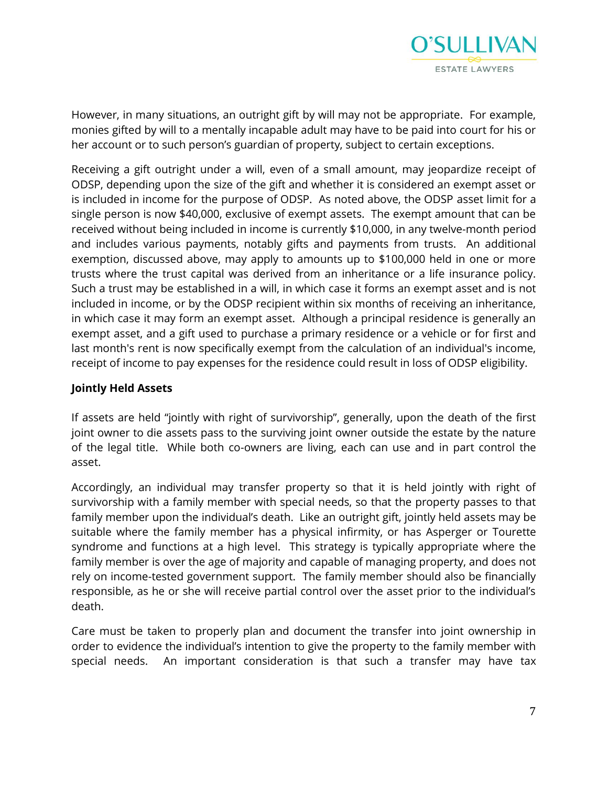

However, in many situations, an outright gift by will may not be appropriate. For example, monies gifted by will to a mentally incapable adult may have to be paid into court for his or her account or to such person's guardian of property, subject to certain exceptions.

Receiving a gift outright under a will, even of a small amount, may jeopardize receipt of ODSP, depending upon the size of the gift and whether it is considered an exempt asset or is included in income for the purpose of ODSP. As noted above, the ODSP asset limit for a single person is now \$40,000, exclusive of exempt assets. The exempt amount that can be received without being included in income is currently \$10,000, in any twelve-month period and includes various payments, notably gifts and payments from trusts. An additional exemption, discussed above, may apply to amounts up to \$100,000 held in one or more trusts where the trust capital was derived from an inheritance or a life insurance policy. Such a trust may be established in a will, in which case it forms an exempt asset and is not included in income, or by the ODSP recipient within six months of receiving an inheritance, in which case it may form an exempt asset. Although a principal residence is generally an exempt asset, and a gift used to purchase a primary residence or a vehicle or for first and last month's rent is now specifically exempt from the calculation of an individual's income, receipt of income to pay expenses for the residence could result in loss of ODSP eligibility.

## **Jointly Held Assets**

If assets are held "jointly with right of survivorship", generally, upon the death of the first joint owner to die assets pass to the surviving joint owner outside the estate by the nature of the legal title. While both co-owners are living, each can use and in part control the asset.

Accordingly, an individual may transfer property so that it is held jointly with right of survivorship with a family member with special needs, so that the property passes to that family member upon the individual's death. Like an outright gift, jointly held assets may be suitable where the family member has a physical infirmity, or has Asperger or Tourette syndrome and functions at a high level. This strategy is typically appropriate where the family member is over the age of majority and capable of managing property, and does not rely on income-tested government support. The family member should also be financially responsible, as he or she will receive partial control over the asset prior to the individual's death.

Care must be taken to properly plan and document the transfer into joint ownership in order to evidence the individual's intention to give the property to the family member with special needs. An important consideration is that such a transfer may have tax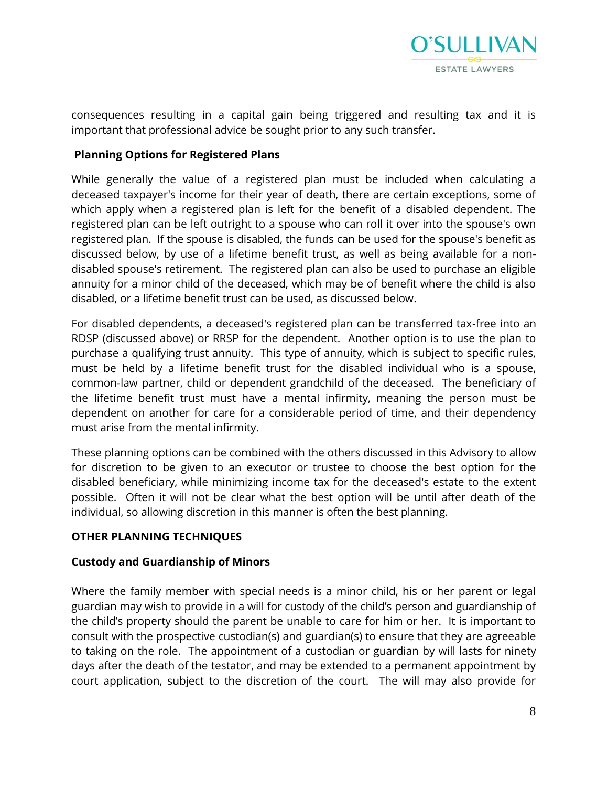

consequences resulting in a capital gain being triggered and resulting tax and it is important that professional advice be sought prior to any such transfer.

### **Planning Options for Registered Plans**

While generally the value of a registered plan must be included when calculating a deceased taxpayer's income for their year of death, there are certain exceptions, some of which apply when a registered plan is left for the benefit of a disabled dependent. The registered plan can be left outright to a spouse who can roll it over into the spouse's own registered plan. If the spouse is disabled, the funds can be used for the spouse's benefit as discussed below, by use of a lifetime benefit trust, as well as being available for a nondisabled spouse's retirement. The registered plan can also be used to purchase an eligible annuity for a minor child of the deceased, which may be of benefit where the child is also disabled, or a lifetime benefit trust can be used, as discussed below.

For disabled dependents, a deceased's registered plan can be transferred tax-free into an RDSP (discussed above) or RRSP for the dependent. Another option is to use the plan to purchase a qualifying trust annuity. This type of annuity, which is subject to specific rules, must be held by a lifetime benefit trust for the disabled individual who is a spouse, common-law partner, child or dependent grandchild of the deceased. The beneficiary of the lifetime benefit trust must have a mental infirmity, meaning the person must be dependent on another for care for a considerable period of time, and their dependency must arise from the mental infirmity.

These planning options can be combined with the others discussed in this Advisory to allow for discretion to be given to an executor or trustee to choose the best option for the disabled beneficiary, while minimizing income tax for the deceased's estate to the extent possible. Often it will not be clear what the best option will be until after death of the individual, so allowing discretion in this manner is often the best planning.

### **OTHER PLANNING TECHNIQUES**

### **Custody and Guardianship of Minors**

Where the family member with special needs is a minor child, his or her parent or legal guardian may wish to provide in a will for custody of the child's person and guardianship of the child's property should the parent be unable to care for him or her. It is important to consult with the prospective custodian(s) and guardian(s) to ensure that they are agreeable to taking on the role. The appointment of a custodian or guardian by will lasts for ninety days after the death of the testator, and may be extended to a permanent appointment by court application, subject to the discretion of the court. The will may also provide for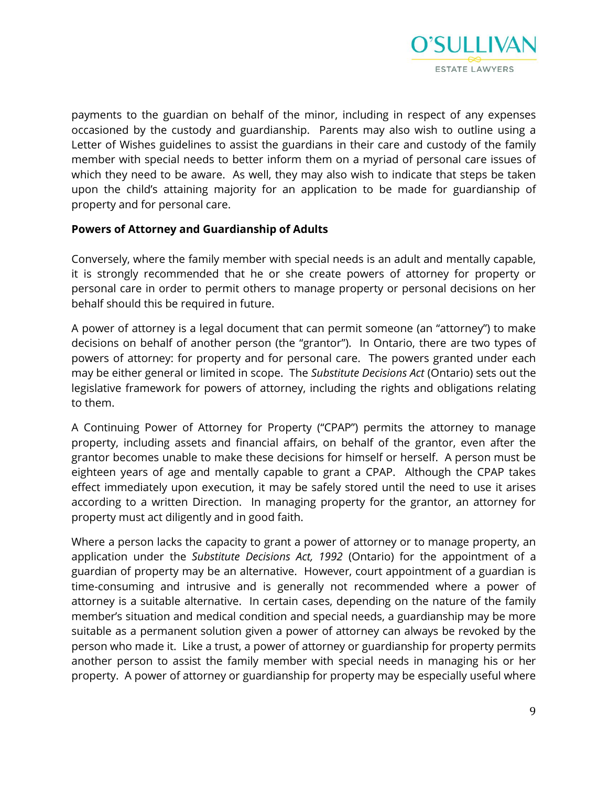

payments to the guardian on behalf of the minor, including in respect of any expenses occasioned by the custody and guardianship. Parents may also wish to outline using a Letter of Wishes guidelines to assist the guardians in their care and custody of the family member with special needs to better inform them on a myriad of personal care issues of which they need to be aware. As well, they may also wish to indicate that steps be taken upon the child's attaining majority for an application to be made for guardianship of property and for personal care.

### **Powers of Attorney and Guardianship of Adults**

Conversely, where the family member with special needs is an adult and mentally capable, it is strongly recommended that he or she create powers of attorney for property or personal care in order to permit others to manage property or personal decisions on her behalf should this be required in future.

A power of attorney is a legal document that can permit someone (an "attorney") to make decisions on behalf of another person (the "grantor"). In Ontario, there are two types of powers of attorney: for property and for personal care. The powers granted under each may be either general or limited in scope. The *Substitute Decisions Act* (Ontario) sets out the legislative framework for powers of attorney, including the rights and obligations relating to them.

A Continuing Power of Attorney for Property ("CPAP") permits the attorney to manage property, including assets and financial affairs, on behalf of the grantor, even after the grantor becomes unable to make these decisions for himself or herself. A person must be eighteen years of age and mentally capable to grant a CPAP. Although the CPAP takes effect immediately upon execution, it may be safely stored until the need to use it arises according to a written Direction. In managing property for the grantor, an attorney for property must act diligently and in good faith.

Where a person lacks the capacity to grant a power of attorney or to manage property, an application under the *Substitute Decisions Act, 1992* (Ontario) for the appointment of a guardian of property may be an alternative. However, court appointment of a guardian is time-consuming and intrusive and is generally not recommended where a power of attorney is a suitable alternative. In certain cases, depending on the nature of the family member's situation and medical condition and special needs, a guardianship may be more suitable as a permanent solution given a power of attorney can always be revoked by the person who made it. Like a trust, a power of attorney or guardianship for property permits another person to assist the family member with special needs in managing his or her property. A power of attorney or guardianship for property may be especially useful where